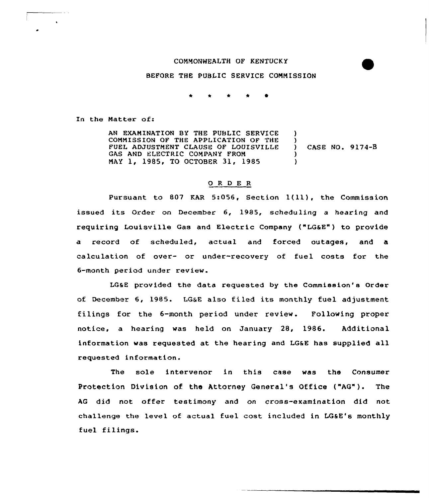## COMMONWEALTH OF KENTUCKY

BEFORE THE PUBLIC SERVICE COMMISSION

In the Matter of:

AN EXAMINATION BY THE PUBLIC SERVICE COMMISSION QF THE APPLICATION OF THE FUEL ADJUSTMENT CLAUSE OF LOUISVILLE GAS AND ELECTRIC COMPANY FROM MAY 1, 1985, TO OCTOBER 31, 1985 )  $)$ ) CASE NO. 9174-8 )  $\lambda$ 

## 0 <sup>R</sup> <sup>D</sup> E <sup>R</sup>

Pursuant to <sup>807</sup> KAR 5:056, Section l(ll), the Commission issued its Order on December 6, 1985, scheduling a hearing and requiring Louisville Gas and Electric Company ("LGSE") to provide a record of scheduled, actual and forced outages, and a calculation of over- or under-recovery of fuel costs for the 6-month period under review.

LGSE provided the data requested by the Commission's Order of December 6, 1985. LGSE also filed its monthly fuel adjustment filings for the 6-month period under review. Following proper notice, a hearing was held on January 28, 1986. Additional information was requested at the hearing and LGSE has supplied all requested information.

The sole intervenor in this case was the Consumer Protection Division of the Attorney General's Office ("AG"). The AG did not offer testimony and on crass-examination did not challenge the level of actual fuel cost included in LG&E's monthly fuel filings.